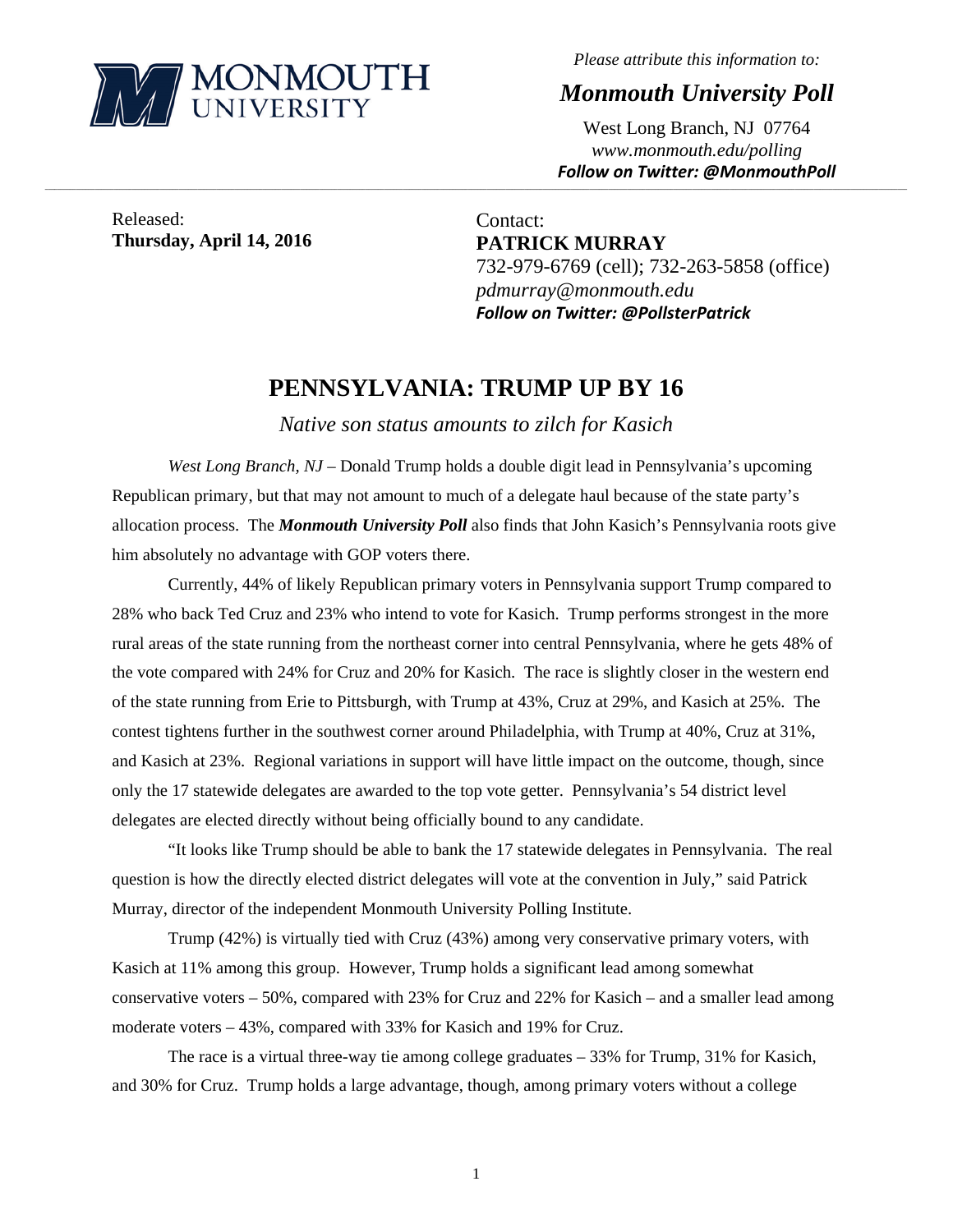

*Please attribute this information to:* 

*Monmouth University Poll* 

West Long Branch, NJ 07764 *www.monmouth.edu/polling Follow on Twitter: @MonmouthPoll*

Released: **Thursday, April 14, 2016** 

Contact: **PATRICK MURRAY**  732-979-6769 (cell); 732-263-5858 (office) *pdmurray@monmouth.edu Follow on Twitter: @PollsterPatrick*

## **PENNSYLVANIA: TRUMP UP BY 16**

,一个人的人都是不是,我们的人都是不是,我们的人都是不是,我们的人都是不是,我们的人都是不是,我们的人都是不是,我们的人都是不是,我们的人都是不是,我们的人都是不

*Native son status amounts to zilch for Kasich* 

*West Long Branch, NJ* – Donald Trump holds a double digit lead in Pennsylvania's upcoming Republican primary, but that may not amount to much of a delegate haul because of the state party's allocation process. The *Monmouth University Poll* also finds that John Kasich's Pennsylvania roots give him absolutely no advantage with GOP voters there.

Currently, 44% of likely Republican primary voters in Pennsylvania support Trump compared to 28% who back Ted Cruz and 23% who intend to vote for Kasich. Trump performs strongest in the more rural areas of the state running from the northeast corner into central Pennsylvania, where he gets 48% of the vote compared with 24% for Cruz and 20% for Kasich. The race is slightly closer in the western end of the state running from Erie to Pittsburgh, with Trump at 43%, Cruz at 29%, and Kasich at 25%. The contest tightens further in the southwest corner around Philadelphia, with Trump at 40%, Cruz at 31%, and Kasich at 23%. Regional variations in support will have little impact on the outcome, though, since only the 17 statewide delegates are awarded to the top vote getter. Pennsylvania's 54 district level delegates are elected directly without being officially bound to any candidate.

"It looks like Trump should be able to bank the 17 statewide delegates in Pennsylvania. The real question is how the directly elected district delegates will vote at the convention in July," said Patrick Murray, director of the independent Monmouth University Polling Institute.

Trump (42%) is virtually tied with Cruz (43%) among very conservative primary voters, with Kasich at 11% among this group. However, Trump holds a significant lead among somewhat conservative voters – 50%, compared with 23% for Cruz and 22% for Kasich – and a smaller lead among moderate voters – 43%, compared with 33% for Kasich and 19% for Cruz.

The race is a virtual three-way tie among college graduates  $-33%$  for Trump, 31% for Kasich, and 30% for Cruz. Trump holds a large advantage, though, among primary voters without a college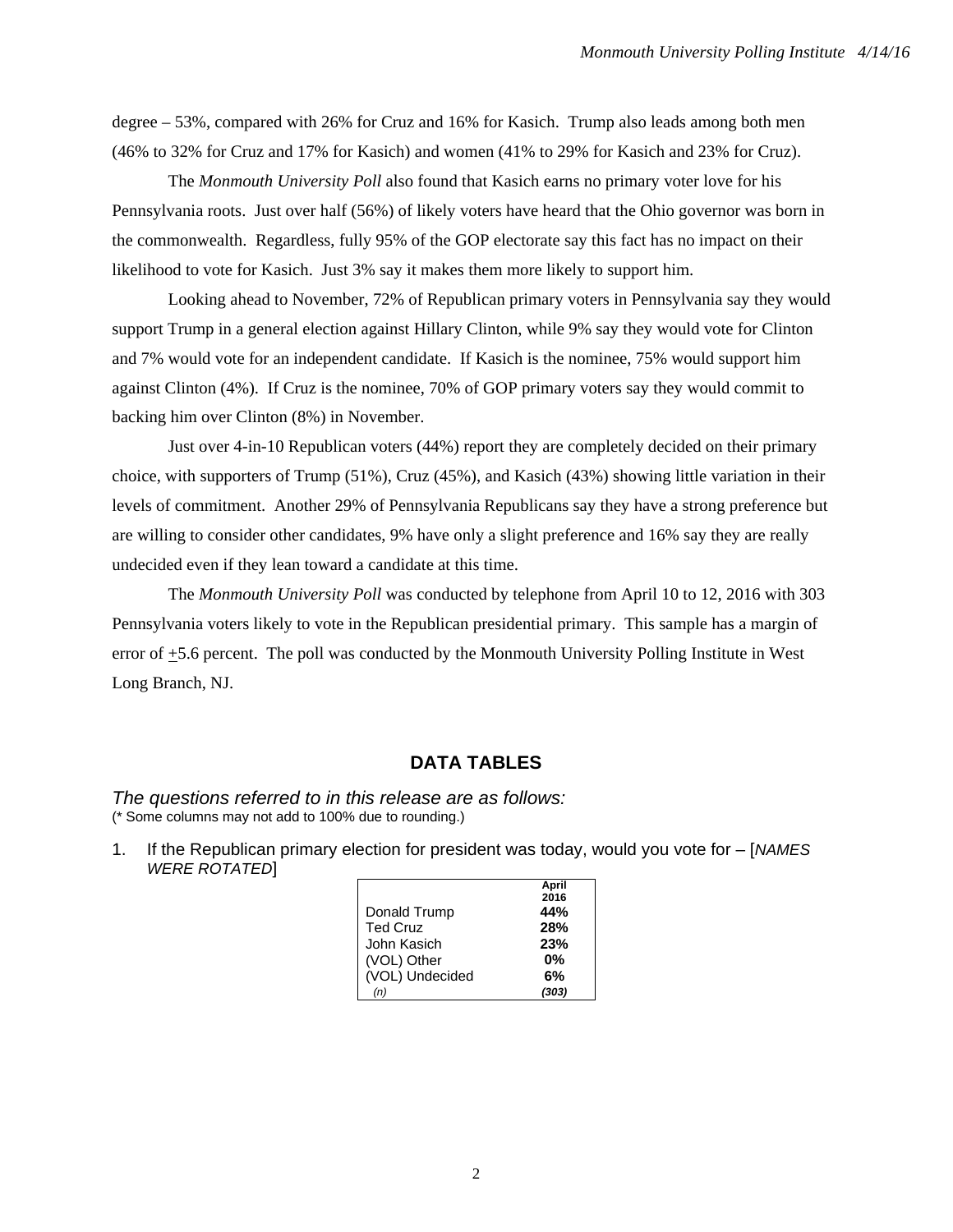degree – 53%, compared with 26% for Cruz and 16% for Kasich. Trump also leads among both men (46% to 32% for Cruz and 17% for Kasich) and women (41% to 29% for Kasich and 23% for Cruz).

The *Monmouth University Poll* also found that Kasich earns no primary voter love for his Pennsylvania roots. Just over half (56%) of likely voters have heard that the Ohio governor was born in the commonwealth. Regardless, fully 95% of the GOP electorate say this fact has no impact on their likelihood to vote for Kasich. Just 3% say it makes them more likely to support him.

Looking ahead to November, 72% of Republican primary voters in Pennsylvania say they would support Trump in a general election against Hillary Clinton, while 9% say they would vote for Clinton and 7% would vote for an independent candidate. If Kasich is the nominee, 75% would support him against Clinton (4%). If Cruz is the nominee, 70% of GOP primary voters say they would commit to backing him over Clinton (8%) in November.

Just over 4-in-10 Republican voters (44%) report they are completely decided on their primary choice, with supporters of Trump (51%), Cruz (45%), and Kasich (43%) showing little variation in their levels of commitment. Another 29% of Pennsylvania Republicans say they have a strong preference but are willing to consider other candidates, 9% have only a slight preference and 16% say they are really undecided even if they lean toward a candidate at this time.

The *Monmouth University Poll* was conducted by telephone from April 10 to 12, 2016 with 303 Pennsylvania voters likely to vote in the Republican presidential primary. This sample has a margin of error of +5.6 percent. The poll was conducted by the Monmouth University Polling Institute in West Long Branch, NJ.

## **DATA TABLES**

*The questions referred to in this release are as follows:*  (\* Some columns may not add to 100% due to rounding.)

1. If the Republican primary election for president was today, would you vote for – [*NAMES*  **WERE ROTATED** 

|                 | April |
|-----------------|-------|
|                 | 2016  |
| Donald Trump    | 44%   |
| <b>Ted Cruz</b> | 28%   |
| John Kasich     | 23%   |
| (VOL) Other     | 0%    |
| (VOL) Undecided | 6%    |
| (n)             | (303) |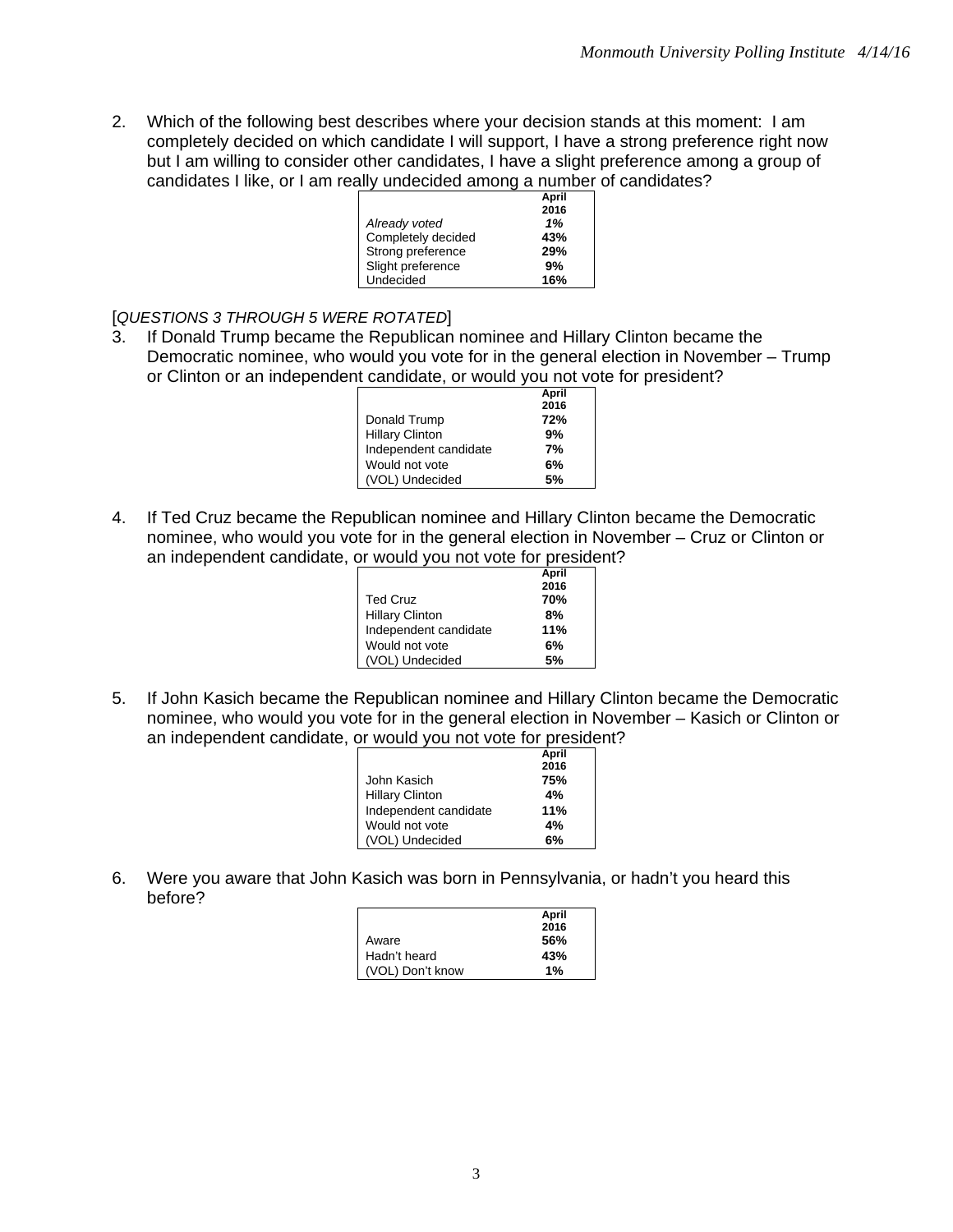2. Which of the following best describes where your decision stands at this moment: I am completely decided on which candidate I will support, I have a strong preference right now but I am willing to consider other candidates, I have a slight preference among a group of candidates I like, or I am really undecided among a number of candidates?

|                    | April |
|--------------------|-------|
|                    | 2016  |
| Already voted      | 1%    |
| Completely decided | 43%   |
| Strong preference  | 29%   |
| Slight preference  | 9%    |
| Undecided          | 16%   |

[*QUESTIONS 3 THROUGH 5 WERE ROTATED*]

3. If Donald Trump became the Republican nominee and Hillary Clinton became the Democratic nominee, who would you vote for in the general election in November – Trump or Clinton or an independent candidate, or would you not vote for president?

|                        | April |  |
|------------------------|-------|--|
|                        | 2016  |  |
| Donald Trump           | 72%   |  |
| <b>Hillary Clinton</b> | 9%    |  |
| Independent candidate  | 7%    |  |
| Would not vote         | 6%    |  |
| (VOL) Undecided        | 5%    |  |

4. If Ted Cruz became the Republican nominee and Hillary Clinton became the Democratic nominee, who would you vote for in the general election in November – Cruz or Clinton or an independent candidate, or would you not vote for president?

|                        | April |
|------------------------|-------|
|                        | 2016  |
| <b>Ted Cruz</b>        | 70%   |
| <b>Hillary Clinton</b> | 8%    |
| Independent candidate  | 11%   |
| Would not vote         | 6%    |
| (VOL) Undecided        | 5%    |

5. If John Kasich became the Republican nominee and Hillary Clinton became the Democratic nominee, who would you vote for in the general election in November – Kasich or Clinton or an independent candidate, or would you not vote for president?

|                        | April |
|------------------------|-------|
|                        | 2016  |
| John Kasich            | 75%   |
| <b>Hillary Clinton</b> | 4%    |
| Independent candidate  | 11%   |
| Would not vote         | 4%    |
| (VOL) Undecided        | 6%    |
|                        |       |

6. Were you aware that John Kasich was born in Pennsylvania, or hadn't you heard this before?

|                  | April |
|------------------|-------|
|                  | 2016  |
| Aware            | 56%   |
| Hadn't heard     | 43%   |
| (VOL) Don't know | 1%    |